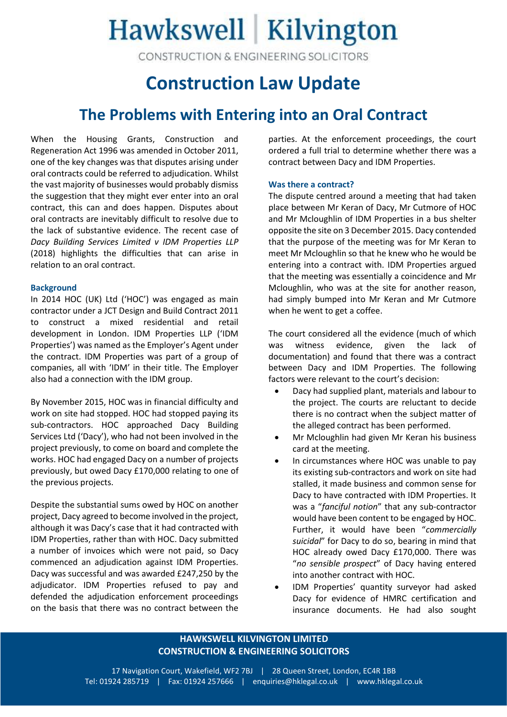# Hawkswell Kilvington

CONSTRUCTION & ENGINEERING SOLICITORS

### **Construction Law Update**

### **The Problems with Entering into an Oral Contract**

When the Housing Grants, Construction and Regeneration Act 1996 was amended in October 2011, one of the key changes was that disputes arising under oral contracts could be referred to adjudication. Whilst the vast majority of businesses would probably dismiss the suggestion that they might ever enter into an oral contract, this can and does happen. Disputes about oral contracts are inevitably difficult to resolve due to the lack of substantive evidence. The recent case of *Dacy Building Services Limited v IDM Properties LLP* (2018) highlights the difficulties that can arise in relation to an oral contract.

#### **Background**

In 2014 HOC (UK) Ltd ('HOC') was engaged as main contractor under a JCT Design and Build Contract 2011 to construct a mixed residential and retail development in London. IDM Properties LLP ('IDM Properties') was named as the Employer's Agent under the contract. IDM Properties was part of a group of companies, all with 'IDM' in their title. The Employer also had a connection with the IDM group.

By November 2015, HOC was in financial difficulty and work on site had stopped. HOC had stopped paying its sub-contractors. HOC approached Dacy Building Services Ltd ('Dacy'), who had not been involved in the project previously, to come on board and complete the works. HOC had engaged Dacy on a number of projects previously, but owed Dacy £170,000 relating to one of the previous projects.

Despite the substantial sums owed by HOC on another project, Dacy agreed to become involved in the project, although it was Dacy's case that it had contracted with IDM Properties, rather than with HOC. Dacy submitted a number of invoices which were not paid, so Dacy commenced an adjudication against IDM Properties. Dacy was successful and was awarded £247,250 by the adjudicator. IDM Properties refused to pay and defended the adjudication enforcement proceedings on the basis that there was no contract between the

parties. At the enforcement proceedings, the court ordered a full trial to determine whether there was a contract between Dacy and IDM Properties.

#### **Was there a contract?**

The dispute centred around a meeting that had taken place between Mr Keran of Dacy, Mr Cutmore of HOC and Mr Mcloughlin of IDM Properties in a bus shelter opposite the site on 3 December 2015. Dacy contended that the purpose of the meeting was for Mr Keran to meet Mr Mcloughlin so that he knew who he would be entering into a contract with. IDM Properties argued that the meeting was essentially a coincidence and Mr Mcloughlin, who was at the site for another reason, had simply bumped into Mr Keran and Mr Cutmore when he went to get a coffee.

The court considered all the evidence (much of which was witness evidence, given the lack of documentation) and found that there was a contract between Dacy and IDM Properties. The following factors were relevant to the court's decision:

- Dacy had supplied plant, materials and labour to the project. The courts are reluctant to decide there is no contract when the subject matter of the alleged contract has been performed.
- Mr Mcloughlin had given Mr Keran his business card at the meeting.
- In circumstances where HOC was unable to pay its existing sub-contractors and work on site had stalled, it made business and common sense for Dacy to have contracted with IDM Properties. It was a "*fanciful notion*" that any sub-contractor would have been content to be engaged by HOC. Further, it would have been "*commercially suicidal*" for Dacy to do so, bearing in mind that HOC already owed Dacy £170,000. There was "*no sensible prospect*" of Dacy having entered into another contract with HOC.
- IDM Properties' quantity surveyor had asked Dacy for evidence of HMRC certification and insurance documents. He had also sought

#### **HAWKSWELL KILVINGTON LIMITED CONSTRUCTION & ENGINEERING SOLICITORS**